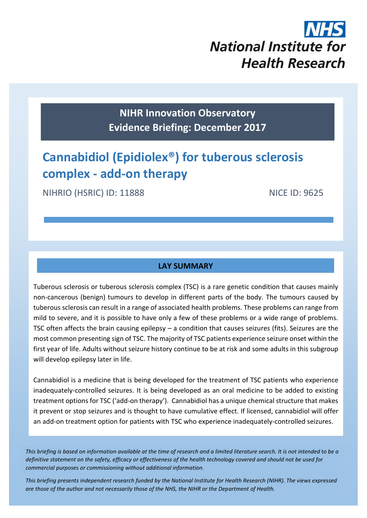# **National Institute for Health Research**

# **NIHR Innovation Observatory Evidence Briefing: December 2017**

# **Cannabidiol (Epidiolex®) for tuberous sclerosis complex - add-on therapy**

NIHRIO (HSRIC) ID: 11888 NICE ID: 9625

### **LAY SUMMARY**

Tuberous sclerosis or tuberous sclerosis complex (TSC) is a rare genetic condition that causes mainly non-cancerous (benign) tumours to develop in different parts of the body. The tumours caused by tuberous sclerosis can result in a range of associated health problems. These problems can range from mild to severe, and it is possible to have only a few of these problems or a wide range of problems. TSC often affects the brain causing epilepsy – a condition that causes seizures (fits). Seizures are the most common presenting sign of TSC. The majority of TSC patients experience seizure onset within the first year of life. Adults without seizure history continue to be at risk and some adults in this subgroup will develop epilepsy later in life.

Cannabidiol is a medicine that is being developed for the treatment of TSC patients who experience inadequately-controlled seizures. It is being developed as an oral medicine to be added to existing treatment options for TSC ('add-on therapy'). Cannabidiol has a unique chemical structure that makes it prevent or stop seizures and is thought to have cumulative effect. If licensed, cannabidiol will offer an add-on treatment option for patients with TSC who experience inadequately-controlled seizures.

*This briefing is based on information available at the time of research and a limited literature search. It is not intended to be a definitive statement on the safety, efficacy or effectiveness of the health technology covered and should not be used for commercial purposes or commissioning without additional information.*

1 *This briefing presents independent research funded by the National Institute for Health Research (NIHR). The views expressed are those of the author and not necessarily those of the NHS, the NIHR or the Department of Health.*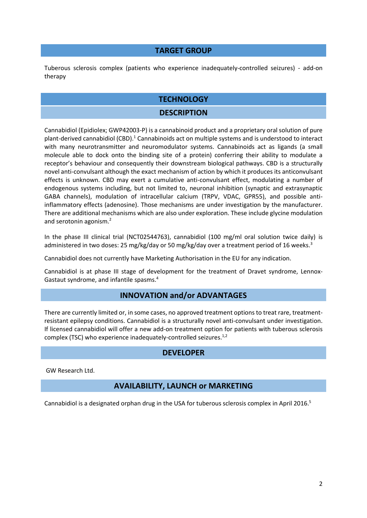#### **TARGET GROUP**

Tuberous sclerosis complex (patients who experience inadequately-controlled seizures) - add-on therapy

#### **TECHNOLOGY**

#### <span id="page-1-0"></span>**DESCRIPTION**

Cannabidiol (Epidiolex; GWP42003-P) is a cannabinoid product and a proprietary oral solution of pure plant-derived cannabidiol (CBD).<sup>1</sup> Cannabinoids act on multiple systems and is understood to interact with many neurotransmitter and neuromodulator systems. Cannabinoids act as ligands (a small molecule able to dock onto the binding site of a protein) conferring their ability to modulate a receptor's behaviour and consequently their downstream biological pathways. CBD is a structurally novel anti-convulsant although the exact mechanism of action by which it produces its anticonvulsant effects is unknown. CBD may exert a cumulative anti-convulsant effect, modulating a number of endogenous systems including, but not limited to, neuronal inhibition (synaptic and extrasynaptic GABA channels), modulation of intracellular calcium (TRPV, VDAC, GPR55), and possible antiinflammatory effects (adenosine). Those mechanisms are under investigation by the manufacturer. There are additional mechanisms which are also under exploration. These include glycine modulation and serotonin agonism.<sup>2</sup>

<span id="page-1-1"></span>In the phase III clinical trial (NCT02544763), cannabidiol (100 mg/ml oral solution twice daily) is administered in two doses: 25 mg/kg/day or 50 mg/kg/day over a treatment period of 16 weeks.<sup>3</sup>

Cannabidiol does not currently have Marketing Authorisation in the EU for any indication.

Cannabidiol is at phase III stage of development for the treatment of Dravet syndrome, Lennox-Gastaut syndrome, and infantile spasms.<sup>4</sup>

#### **INNOVATION and/or ADVANTAGES**

There are currently limited or, in some cases, no approved treatment options to treat rare, treatmentresistant epilepsy conditions. Cannabidiol is a structurally novel anti-convulsant under investigation. If licensed cannabidiol will offer a new add-on treatment option for patients with tuberous sclerosis complex (TSC) who experience inadequately-controlled seizures.<sup>[1,](#page-1-0)[2](#page-1-1)</sup>

#### <span id="page-1-2"></span>**DEVELOPER**

GW Research Ltd.

#### **AVAILABILITY, LAUNCH or MARKETING**

Cannabidiol is a designated orphan drug in the USA for tuberous sclerosis complex in April 2016.<sup>5</sup>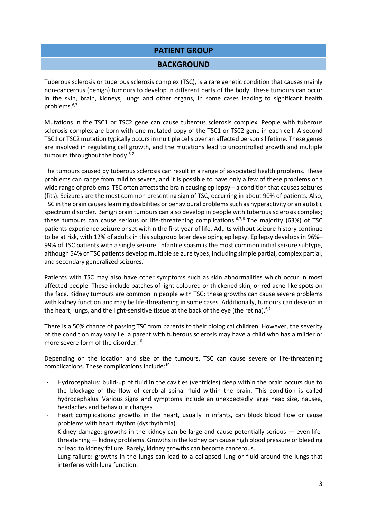#### **PATIENT GROUP**

#### **BACKGROUND**

Tuberous sclerosis or tuberous sclerosis complex (TSC), is a rare genetic condition that causes mainly non-cancerous (benign) tumours to develop in different parts of the body. These tumours can occur in the skin, brain, kidneys, lungs and other organs, in some cases leading to significant health problems.6,7

<span id="page-2-1"></span><span id="page-2-0"></span>Mutations in the TSC1 or TSC2 gene can cause tuberous sclerosis complex. People with tuberous sclerosis complex are born with one mutated copy of the TSC1 or TSC2 gene in each cell. A second TSC1 or TSC2 mutation typically occurs in multiple cells over an affected person's lifetime. These genes are involved in regulating cell growth, and the mutations lead to uncontrolled growth and multiple tumours throughout the body.<sup>[6,](#page-2-0)[7](#page-2-1)</sup>

The tumours caused by tuberous sclerosis can result in a range of associated health problems. These problems can range from mild to severe, and it is possible to have only a few of these problems or a wide range of problems. TSC often affects the brain causing epilepsy – a condition that causes seizures (fits). Seizures are the most common presenting sign of TSC, occurring in about 90% of patients. Also, TSC in the brain causes learning disabilities or behavioural problems such as hyperactivity or an autistic spectrum disorder. Benign brain tumours can also develop in people with tuberous sclerosis complex; these tumours can cause serious or life-threatening complications.<sup>[6,](#page-2-0)[7,8](#page-2-1)</sup> The majority (63%) of TSC patients experience seizure onset within the first year of life. Adults without seizure history continue to be at risk, with 12% of adults in this subgroup later developing epilepsy. Epilepsy develops in 96%– 99% of TSC patients with a single seizure. Infantile spasm is the most common initial seizure subtype, although 54% of TSC patients develop multiple seizure types, including simple partial, complex partial, and secondary generalized seizures.<sup>9</sup>

Patients with TSC may also have other symptoms such as skin abnormalities which occur in most affected people. These include patches of light-coloured or thickened skin, or red acne-like spots on the face. Kidney tumours are common in people with TSC; these growths can cause severe problems with kidney function and may be life-threatening in some cases. Additionally, tumours can develop in the heart, lungs, and the light-sensitive tissue at the back of the eye (the retina).<sup>[6,](#page-2-0)[7](#page-2-1)</sup>

<span id="page-2-2"></span>There is a 50% chance of passing TSC from parents to their biological children. However, the severity of the condition may vary i.e. a parent with tuberous sclerosis may have a child who has a milder or more severe form of the disorder.<sup>10</sup>

Depending on the location and size of the tumours, TSC can cause severe or life-threatening complications. These complications include: [10](#page-2-2)

- Hydrocephalus: build-up of fluid in the cavities (ventricles) deep within the brain occurs due to the blockage of the flow of cerebral spinal fluid within the brain. This condition is called hydrocephalus. Various signs and symptoms include an unexpectedly large head size, nausea, headaches and behaviour changes.
- Heart complications: growths in the heart, usually in infants, can block blood flow or cause problems with heart rhythm (dysrhythmia).
- Kidney damage: growths in the kidney can be large and cause potentially serious even lifethreatening — kidney problems. Growths in the kidney can cause high blood pressure or bleeding or lead to kidney failure. Rarely, kidney growths can become cancerous.
- Lung failure: growths in the lungs can lead to a collapsed lung or fluid around the lungs that interferes with lung function.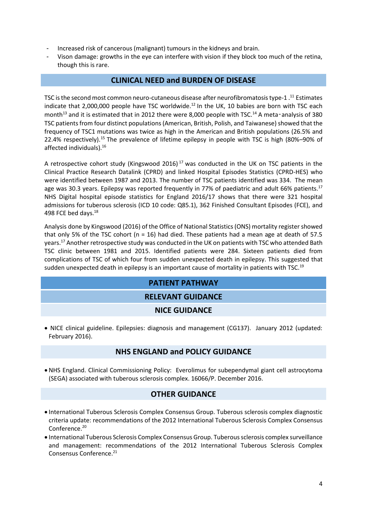- Increased risk of cancerous (malignant) tumours in the kidneys and brain.
- Vison damage: growths in the eye can interfere with vision if they block too much of the retina, though this is rare.

#### <span id="page-3-1"></span><span id="page-3-0"></span>**CLINICAL NEED and BURDEN OF DISEASE**

TSC is the second most common neuro-cutaneous disease after neurofibromatosis type-1.<sup>11</sup> Estimates indicate that 2,000,000 people have TSC worldwide.<sup>12</sup> In the UK, 10 babies are born with TSC each month<sup>13</sup> and it is estimated that in 2012 there were 8,000 people with TSC.<sup>14</sup> A meta-analysis of 380 TSC patients from four distinct populations (American, British, Polish, and Taiwanese) showed that the frequency of TSC1 mutations was twice as high in the American and British populations (26.5% and 22.4% respectively).<sup>15</sup> The prevalence of lifetime epilepsy in people with TSC is high (80%–90% of affected individuals).<sup>16</sup>

A retrospective cohort study (Kingswood 2016)<sup>17</sup> was conducted in the UK on TSC patients in the Clinical Practice Research Datalink (CPRD) and linked Hospital Episodes Statistics (CPRD-HES) who were identified between 1987 and 2013. The number of TSC patients identified was 334. The mean age was 30.3 years. Epilepsy was reported frequently in 77% of paediatric and adult 66% patients.<sup>[17](#page-3-0)</sup> NHS Digital hospital episode statistics for England 2016/17 shows that there were 321 hospital admissions for tuberous sclerosis (ICD 10 code: Q85.1), 362 Finished Consultant Episodes (FCE), and 498 FCE bed days.<sup>18</sup>

Analysis done by Kingswood (2016) of the Office of National Statistics (ONS) mortality register showed that only 5% of the TSC cohort (n = 16) had died. These patients had a mean age at death of 57.5 years.[17](#page-3-1) Another retrospective study was conducted in the UK on patients with TSC who attended Bath TSC clinic between 1981 and 2015. Identified patients were 284. Sixteen patients died from complications of TSC of which four from sudden unexpected death in epilepsy. This suggested that sudden unexpected death in epilepsy is an important cause of mortality in patients with TSC.<sup>19</sup>

## **PATIENT PATHWAY**

#### **RELEVANT GUIDANCE**

#### **NICE GUIDANCE**

 NICE clinical guideline. Epilepsies: diagnosis and management (CG137). January 2012 (updated: February 2016).

#### **NHS ENGLAND and POLICY GUIDANCE**

 NHS England. Clinical Commissioning Policy: Everolimus for subependymal giant cell astrocytoma (SEGA) associated with tuberous sclerosis complex. 16066/P. December 2016.

#### **OTHER GUIDANCE**

- International Tuberous Sclerosis Complex Consensus Group. Tuberous sclerosis complex diagnostic criteria update: recommendations of the 2012 International Tuberous Sclerosis Complex Consensus Conference.<sup>20</sup>
- <span id="page-3-2"></span> International Tuberous Sclerosis Complex Consensus Group. Tuberous sclerosis complex surveillance and management: recommendations of the 2012 International Tuberous Sclerosis Complex Consensus Conference.<sup>21</sup>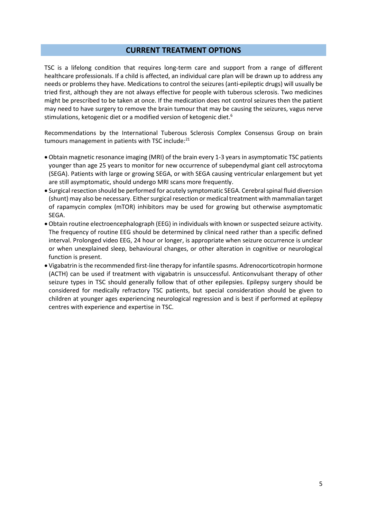#### **CURRENT TREATMENT OPTIONS**

TSC is a lifelong condition that requires long-term care and support from a range of different healthcare professionals. If a child is affected, an individual care plan will be drawn up to address any needs or problems they have. Medications to control the seizures (anti-epileptic drugs) will usually be tried first, although they are not always effective for people with tuberous sclerosis. Two medicines might be prescribed to be taken at once. If the medication does not control seizures then the patient may need to have surgery to remove the brain tumour that may be causing the seizures, vagus nerve stimulations, ketogenic diet or a modified version of ketogenic die[t.](#page-2-0)<sup>6</sup>

Recommendations by the International Tuberous Sclerosis Complex Consensus Group on brain tumours management in patients with TSC include:<sup>[21](#page-3-2)</sup>

- Obtain magnetic resonance imaging (MRI) of the brain every 1-3 years in asymptomatic TSC patients younger than age 25 years to monitor for new occurrence of subependymal giant cell astrocytoma (SEGA). Patients with large or growing SEGA, or with SEGA causing ventricular enlargement but yet are still asymptomatic, should undergo MRI scans more frequently.
- Surgical resection should be performed for acutely symptomatic SEGA. Cerebral spinal fluid diversion (shunt) may also be necessary. Either surgical resection or medical treatment with mammalian target of rapamycin complex (mTOR) inhibitors may be used for growing but otherwise asymptomatic SEGA.
- Obtain routine electroencephalograph (EEG) in individuals with known or suspected seizure activity. The frequency of routine EEG should be determined by clinical need rather than a specific defined interval. Prolonged video EEG, 24 hour or longer, is appropriate when seizure occurrence is unclear or when unexplained sleep, behavioural changes, or other alteration in cognitive or neurological function is present.
- Vigabatrin is the recommended first-line therapy for infantile spasms. Adrenocorticotropin hormone (ACTH) can be used if treatment with vigabatrin is unsuccessful. Anticonvulsant therapy of other seizure types in TSC should generally follow that of other epilepsies. Epilepsy surgery should be considered for medically refractory TSC patients, but special consideration should be given to children at younger ages experiencing neurological regression and is best if performed at epilepsy centres with experience and expertise in TSC.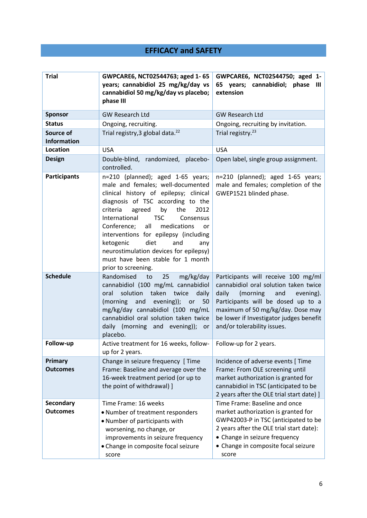# **EFFICACY and SAFETY**

| <b>Trial</b>                        | GWPCARE6, NCT02544763; aged 1-65<br>years; cannabidiol 25 mg/kg/day vs<br>cannabidiol 50 mg/kg/day vs placebo;<br>phase III                                                                                                                                                                                                                                                                                                                                                      | GWPCARE6, NCT02544750; aged 1-<br>65 years; cannabidiol; phase<br>Ш<br>extension                                                                                                                                                                                           |
|-------------------------------------|----------------------------------------------------------------------------------------------------------------------------------------------------------------------------------------------------------------------------------------------------------------------------------------------------------------------------------------------------------------------------------------------------------------------------------------------------------------------------------|----------------------------------------------------------------------------------------------------------------------------------------------------------------------------------------------------------------------------------------------------------------------------|
| <b>Sponsor</b>                      | <b>GW Research Ltd</b>                                                                                                                                                                                                                                                                                                                                                                                                                                                           | <b>GW Research Ltd</b>                                                                                                                                                                                                                                                     |
| <b>Status</b>                       | Ongoing, recruiting.                                                                                                                                                                                                                                                                                                                                                                                                                                                             | Ongoing, recruiting by invitation.                                                                                                                                                                                                                                         |
| Source of<br><b>Information</b>     | Trial registry, 3 global data. <sup>22</sup>                                                                                                                                                                                                                                                                                                                                                                                                                                     | Trial registry. <sup>23</sup>                                                                                                                                                                                                                                              |
| Location                            | <b>USA</b>                                                                                                                                                                                                                                                                                                                                                                                                                                                                       | <b>USA</b>                                                                                                                                                                                                                                                                 |
| <b>Design</b>                       | Double-blind, randomized, placebo-<br>controlled.                                                                                                                                                                                                                                                                                                                                                                                                                                | Open label, single group assignment.                                                                                                                                                                                                                                       |
| <b>Participants</b>                 | n=210 (planned); aged 1-65 years;<br>male and females; well-documented<br>clinical history of epilepsy; clinical<br>diagnosis of TSC according to the<br>criteria<br>by<br>the<br>agreed<br>2012<br><b>TSC</b><br>International<br>Consensus<br>all<br>Conference;<br>medications<br><b>or</b><br>interventions for epilepsy (including<br>diet<br>ketogenic<br>and<br>any<br>neurostimulation devices for epilepsy)<br>must have been stable for 1 month<br>prior to screening. | n=210 (planned); aged 1-65 years;<br>male and females; completion of the<br>GWEP1521 blinded phase.                                                                                                                                                                        |
| <b>Schedule</b>                     | Randomised<br>25<br>to<br>mg/kg/day<br>cannabidiol (100 mg/mL cannabidiol<br>solution<br>taken<br>twice<br>oral<br>daily<br>(morning<br>and<br>evening));<br>50<br>or<br>mg/kg/day cannabidiol (100 mg/mL<br>cannabidiol oral solution taken twice<br>daily (morning and evening)); or<br>placebo.                                                                                                                                                                               | Participants will receive 100 mg/ml<br>cannabidiol oral solution taken twice<br>daily<br>(morning<br>and<br>evening).<br>Participants will be dosed up to a<br>maximum of 50 mg/kg/day. Dose may<br>be lower if Investigator judges benefit<br>and/or tolerability issues. |
| Follow-up                           | Active treatment for 16 weeks, follow-<br>up for 2 years.                                                                                                                                                                                                                                                                                                                                                                                                                        | Follow-up for 2 years.                                                                                                                                                                                                                                                     |
| Primary<br><b>Outcomes</b>          | Change in seizure frequency [ Time<br>Frame: Baseline and average over the<br>16-week treatment period (or up to<br>the point of withdrawal) ]                                                                                                                                                                                                                                                                                                                                   | Incidence of adverse events [ Time<br>Frame: From OLE screening until<br>market authorization is granted for<br>cannabidiol in TSC (anticipated to be<br>2 years after the OLE trial start date) ]                                                                         |
| <b>Secondary</b><br><b>Outcomes</b> | Time Frame: 16 weeks<br>• Number of treatment responders<br>• Number of participants with<br>worsening, no change, or<br>improvements in seizure frequency<br>• Change in composite focal seizure<br>score                                                                                                                                                                                                                                                                       | Time Frame: Baseline and once<br>market authorization is granted for<br>GWP42003-P in TSC (anticipated to be<br>2 years after the OLE trial start date):<br>• Change in seizure frequency<br>• Change in composite focal seizure<br>score                                  |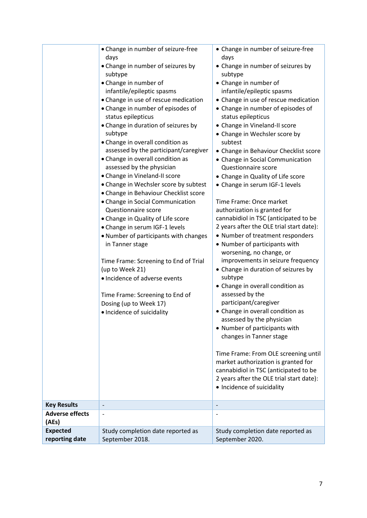|                                   | • Change in number of seizure-free<br>days<br>• Change in number of seizures by<br>subtype<br>• Change in number of<br>infantile/epileptic spasms<br>• Change in use of rescue medication<br>• Change in number of episodes of<br>status epilepticus<br>• Change in duration of seizures by<br>subtype<br>• Change in overall condition as<br>assessed by the participant/caregiver<br>• Change in overall condition as<br>assessed by the physician<br>• Change in Vineland-II score<br>• Change in Wechsler score by subtest<br>• Change in Behaviour Checklist score<br>• Change in Social Communication<br>Questionnaire score<br>• Change in Quality of Life score<br>• Change in serum IGF-1 levels<br>. Number of participants with changes<br>in Tanner stage<br>Time Frame: Screening to End of Trial<br>(up to Week 21)<br>· Incidence of adverse events<br>Time Frame: Screening to End of<br>Dosing (up to Week 17)<br>· Incidence of suicidality | • Change in number of seizure-free<br>days<br>• Change in number of seizures by<br>subtype<br>• Change in number of<br>infantile/epileptic spasms<br>• Change in use of rescue medication<br>• Change in number of episodes of<br>status epilepticus<br>• Change in Vineland-II score<br>• Change in Wechsler score by<br>subtest<br>• Change in Behaviour Checklist score<br>• Change in Social Communication<br>Questionnaire score<br>• Change in Quality of Life score<br>• Change in serum IGF-1 levels<br>Time Frame: Once market<br>authorization is granted for<br>cannabidiol in TSC (anticipated to be<br>2 years after the OLE trial start date):<br>• Number of treatment responders<br>• Number of participants with<br>worsening, no change, or<br>improvements in seizure frequency<br>• Change in duration of seizures by<br>subtype<br>• Change in overall condition as<br>assessed by the<br>participant/caregiver<br>• Change in overall condition as<br>assessed by the physician<br>• Number of participants with<br>changes in Tanner stage<br>Time Frame: From OLE screening until<br>market authorization is granted for<br>cannabidiol in TSC (anticipated to be<br>2 years after the OLE trial start date): |
|-----------------------------------|---------------------------------------------------------------------------------------------------------------------------------------------------------------------------------------------------------------------------------------------------------------------------------------------------------------------------------------------------------------------------------------------------------------------------------------------------------------------------------------------------------------------------------------------------------------------------------------------------------------------------------------------------------------------------------------------------------------------------------------------------------------------------------------------------------------------------------------------------------------------------------------------------------------------------------------------------------------|---------------------------------------------------------------------------------------------------------------------------------------------------------------------------------------------------------------------------------------------------------------------------------------------------------------------------------------------------------------------------------------------------------------------------------------------------------------------------------------------------------------------------------------------------------------------------------------------------------------------------------------------------------------------------------------------------------------------------------------------------------------------------------------------------------------------------------------------------------------------------------------------------------------------------------------------------------------------------------------------------------------------------------------------------------------------------------------------------------------------------------------------------------------------------------------------------------------------------------------|
|                                   |                                                                                                                                                                                                                                                                                                                                                                                                                                                                                                                                                                                                                                                                                                                                                                                                                                                                                                                                                               | • Incidence of suicidality                                                                                                                                                                                                                                                                                                                                                                                                                                                                                                                                                                                                                                                                                                                                                                                                                                                                                                                                                                                                                                                                                                                                                                                                            |
| <b>Key Results</b>                | $\overline{\phantom{a}}$                                                                                                                                                                                                                                                                                                                                                                                                                                                                                                                                                                                                                                                                                                                                                                                                                                                                                                                                      | $\qquad \qquad -$                                                                                                                                                                                                                                                                                                                                                                                                                                                                                                                                                                                                                                                                                                                                                                                                                                                                                                                                                                                                                                                                                                                                                                                                                     |
| <b>Adverse effects</b><br>(AEs)   |                                                                                                                                                                                                                                                                                                                                                                                                                                                                                                                                                                                                                                                                                                                                                                                                                                                                                                                                                               |                                                                                                                                                                                                                                                                                                                                                                                                                                                                                                                                                                                                                                                                                                                                                                                                                                                                                                                                                                                                                                                                                                                                                                                                                                       |
| <b>Expected</b><br>reporting date | Study completion date reported as<br>September 2018.                                                                                                                                                                                                                                                                                                                                                                                                                                                                                                                                                                                                                                                                                                                                                                                                                                                                                                          | Study completion date reported as<br>September 2020.                                                                                                                                                                                                                                                                                                                                                                                                                                                                                                                                                                                                                                                                                                                                                                                                                                                                                                                                                                                                                                                                                                                                                                                  |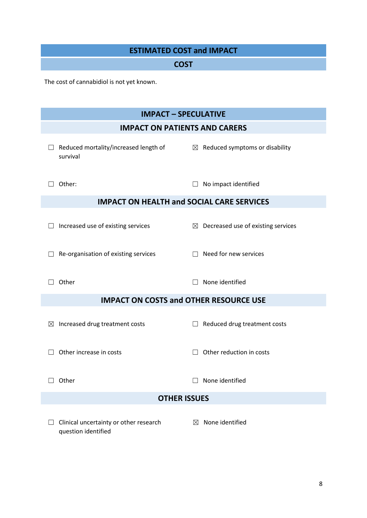| <b>ESTIMATED COST and IMPACT</b>                              |                                                |  |  |  |
|---------------------------------------------------------------|------------------------------------------------|--|--|--|
| <b>COST</b>                                                   |                                                |  |  |  |
| The cost of cannabidiol is not yet known.                     |                                                |  |  |  |
| <b>IMPACT - SPECULATIVE</b>                                   |                                                |  |  |  |
| <b>IMPACT ON PATIENTS AND CARERS</b>                          |                                                |  |  |  |
| Reduced mortality/increased length of<br>survival             | $\boxtimes$ Reduced symptoms or disability     |  |  |  |
| Other:                                                        | No impact identified                           |  |  |  |
| <b>IMPACT ON HEALTH and SOCIAL CARE SERVICES</b>              |                                                |  |  |  |
| Increased use of existing services                            | $\boxtimes$ Decreased use of existing services |  |  |  |
| Re-organisation of existing services                          | Need for new services                          |  |  |  |
| Other                                                         | None identified<br>$\perp$                     |  |  |  |
| <b>IMPACT ON COSTS and OTHER RESOURCE USE</b>                 |                                                |  |  |  |
| Increased drug treatment costs<br>$\boxtimes$                 | Reduced drug treatment costs                   |  |  |  |
| Other increase in costs                                       | Other reduction in costs<br>$\perp$            |  |  |  |
| Other                                                         | None identified                                |  |  |  |
| <b>OTHER ISSUES</b>                                           |                                                |  |  |  |
| Clinical uncertainty or other research<br>question identified | None identified<br>⊠                           |  |  |  |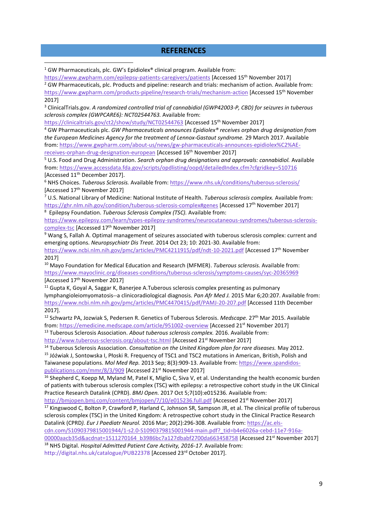#### **REFERENCES**

<sup>1</sup> GW Pharmaceuticals, plc. GW's Epidiolex<sup>®</sup> clinical program. Available from:

1

<https://www.gwpharm.com/epilepsy-patients-caregivers/patients> [Accessed 15th November 2017] <sup>2</sup> GW Pharmaceuticals, plc. Products and pipeline: research and trials: mechanism of action. Available from: <https://www.gwpharm.com/products-pipeline/research-trials/mechanism-action> [Accessed 15th November 2017]

<sup>3</sup> ClinicalTrials.gov. *A randomized controlled trial of cannabidiol (GWP42003-P, CBD) for seizures in tuberous sclerosis complex (GWPCARE6): NCT02544763.* Available from:

<https://clinicaltrials.gov/ct2/show/study/NCT02544763> [Accessed 15th November 2017]

<sup>4</sup> GW Pharmaceuticals plc. *GW Pharmaceuticals announces Epidiolex® receives orphan drug designation from the European Medicines Agency for the treatment of Lennox-Gastaut syndrome.* 29 March 2017. Available from: [https://www.gwpharm.com/about-us/news/gw-pharmaceuticals-announces-epidiolex%C2%AE](https://www.gwpharm.com/about-us/news/gw-pharmaceuticals-announces-epidiolex%C2%AE-receives-orphan-drug-designation-european)[receives-orphan-drug-designation-european](https://www.gwpharm.com/about-us/news/gw-pharmaceuticals-announces-epidiolex%C2%AE-receives-orphan-drug-designation-european) [Accessed 16th November 2017]

<sup>5</sup> U.S. Food and Drug Administration. *Search orphan drug designations and approvals: cannabidiol.* Available from[: https://www.accessdata.fda.gov/scripts/opdlisting/oopd/detailedIndex.cfm?cfgridkey=510716](https://www.accessdata.fda.gov/scripts/opdlisting/oopd/detailedIndex.cfm?cfgridkey=510716) [Accessed 11<sup>th</sup> December 2017].

<sup>6</sup> NHS Choices. *Tuberous Sclerosis.* Available from:<https://www.nhs.uk/conditions/tuberous-sclerosis/> [Accessed 17th November 2017]

<sup>7</sup> U.S. National Library of Medicine: National Institute of Health. *Tuberous sclerosis complex.* Available from: <https://ghr.nlm.nih.gov/condition/tuberous-sclerosis-complex#genes> [Accessed 17th November 2017] 8 Epilepsy Foundation. *Tuberous Sclerosis Complex (TSC).* Available from:

[https://www.epilepsy.com/learn/types-epilepsy-syndromes/neurocutaneous-syndromes/tuberous-sclerosis](https://www.epilepsy.com/learn/types-epilepsy-syndromes/neurocutaneous-syndromes/tuberous-sclerosis-complex-tsc)[complex-tsc](https://www.epilepsy.com/learn/types-epilepsy-syndromes/neurocutaneous-syndromes/tuberous-sclerosis-complex-tsc) [Accessed 17th November 2017]

<sup>9</sup> Wang S, Fallah A. Optimal management of seizures associated with tuberous sclerosis complex: current and emerging options. *Neuropsychiatr Dis Treat.* 2014 Oct 23; 10: 2021-30. Available from:

<https://www.ncbi.nlm.nih.gov/pmc/articles/PMC4211915/pdf/ndt-10-2021.pdf> [Accessed 17th November 2017]

<sup>10</sup> Mayo Foundation for Medical Education and Research (MFMER). *Tuberous sclerosis.* Available from: <https://www.mayoclinic.org/diseases-conditions/tuberous-sclerosis/symptoms-causes/syc-20365969> [Accessed 17th November 2017]

 $11$  Gupta K, Goyal A, Saggar K, Baneriee A.Tuberous sclerosis complex presenting as pulmonary lymphangioleiomyomatosis--a clinicoradiological diagnosis. *Pan Afr Med J.* 2015 Mar 6;20:207. Available from: <https://www.ncbi.nlm.nih.gov/pmc/articles/PMC4470415/pdf/PAMJ-20-207.pdf> [Accessed 11th December 2017].

<sup>12</sup> Schwartz PA, Jozwiak S, Pedersen R. Genetics of Tuberous Sclerosis. *Medscape.* 27th Mar 2015. Available from[: https://emedicine.medscape.com/article/951002-overview](https://emedicine.medscape.com/article/951002-overview) [Accessed 21<sup>st</sup> November 2017] <sup>13</sup> Tuberous Sclerosis Association. *About tuberous sclerosis complex.* 2016. Available from:

<http://www.tuberous-sclerosis.org/about-tsc.html> [Accessed 21st November 2017]

<sup>14</sup> Tuberous Sclerosis Association. *Consultation on the United Kingdom plan for rare diseases.* May 2012.

<sup>15</sup> Jóźwiak J, Sontowska I, Płoski R. Frequency of TSC1 and TSC2 mutations in American, British, Polish and Taiwanese populations. *Mol Med Rep.* 2013 Sep; 8(3):909-13. Available from: [https://www.spandidos](https://www.spandidos-publications.com/mmr/8/3/909)[publications.com/mmr/8/3/909](https://www.spandidos-publications.com/mmr/8/3/909) [Accessed 21st November 2017]

<sup>16</sup> Shepherd C, Koepp M, Myland M, Patel K, Miglio C, Siva V, et al. Understanding the health economic burden of patients with tuberous sclerosis complex (TSC) with epilepsy: a retrospective cohort study in the UK Clinical Practice Research Datalink (CPRD). *BMJ Open.* 2017 Oct 5;7(10):e015236. Available from:

<http://bmjopen.bmj.com/content/bmjopen/7/10/e015236.full.pdf> [Accessed 21st November 2017] <sup>17</sup> Kingswood C, Bolton P, Crawford P, Harland C, Johnson SR, Sampson JR, et al. The clinical profile of tuberous sclerosis complex (TSC) in the United Kingdom: A retrospective cohort study in the Clinical Practice Research Datalink (CPRD*). Eur J Paediatr Neurol.* 2016 Mar; 20(2):296-308. Available from: [https://ac.els-](https://ac.els-cdn.com/S1090379815001944/1-s2.0-S1090379815001944-main.pdf?_tid=b4e6026a-cebd-11e7-916a-00000aacb35d&acdnat=1511270164_b3986bc7a127dbabf2700da663458758)

[cdn.com/S1090379815001944/1-s2.0-S1090379815001944-main.pdf?\\_tid=b4e6026a-cebd-11e7-916a-](https://ac.els-cdn.com/S1090379815001944/1-s2.0-S1090379815001944-main.pdf?_tid=b4e6026a-cebd-11e7-916a-00000aacb35d&acdnat=1511270164_b3986bc7a127dbabf2700da663458758)[00000aacb35d&acdnat=1511270164\\_b3986bc7a127dbabf2700da663458758](https://ac.els-cdn.com/S1090379815001944/1-s2.0-S1090379815001944-main.pdf?_tid=b4e6026a-cebd-11e7-916a-00000aacb35d&acdnat=1511270164_b3986bc7a127dbabf2700da663458758) [Accessed 21<sup>st</sup> November 2017]

<sup>18</sup> NHS Digital. *Hospital Admitted Patient Care Activity, 2016-17.* Available from:

http://digital.nhs.uk/catalogue/PUB22378 [Accessed 23rd October 2017].